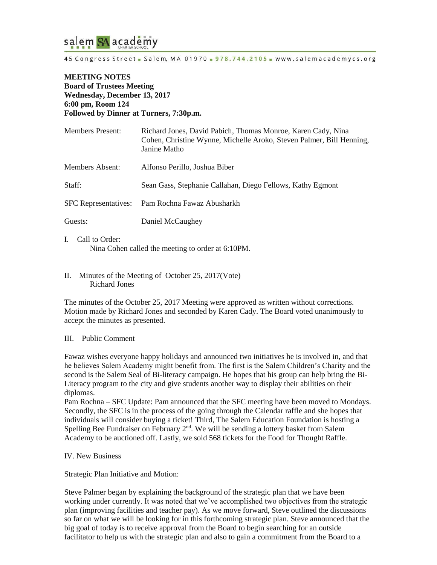

45 Congress Street - Salem, MA 01970 - 978.744.2105 - www.salemacademycs.org

### **MEETING NOTES Board of Trustees Meeting Wednesday, December 13, 2017 6:00 pm, Room 124 Followed by Dinner at Turners, 7:30p.m.**

| <b>Members Present:</b>     | Richard Jones, David Pabich, Thomas Monroe, Karen Cady, Nina<br>Cohen, Christine Wynne, Michelle Aroko, Steven Palmer, Bill Henning,<br>Janine Matho |
|-----------------------------|------------------------------------------------------------------------------------------------------------------------------------------------------|
| Members Absent:             | Alfonso Perillo, Joshua Biber                                                                                                                        |
| Staff:                      | Sean Gass, Stephanie Callahan, Diego Fellows, Kathy Egmont                                                                                           |
| <b>SFC</b> Representatives: | Pam Rochna Fawaz Abusharkh                                                                                                                           |
| Guests:                     | Daniel McCaughey                                                                                                                                     |
|                             |                                                                                                                                                      |

- I. Call to Order: Nina Cohen called the meeting to order at 6:10PM.
- II. Minutes of the Meeting of October 25, 2017(Vote) Richard Jones

The minutes of the October 25, 2017 Meeting were approved as written without corrections. Motion made by Richard Jones and seconded by Karen Cady. The Board voted unanimously to accept the minutes as presented.

### III. Public Comment

Fawaz wishes everyone happy holidays and announced two initiatives he is involved in, and that he believes Salem Academy might benefit from. The first is the Salem Children's Charity and the second is the Salem Seal of Bi-literacy campaign. He hopes that his group can help bring the Bi-Literacy program to the city and give students another way to display their abilities on their diplomas.

Pam Rochna – SFC Update: Pam announced that the SFC meeting have been moved to Mondays. Secondly, the SFC is in the process of the going through the Calendar raffle and she hopes that individuals will consider buying a ticket! Third, The Salem Education Foundation is hosting a Spelling Bee Fundraiser on February  $2<sup>nd</sup>$ . We will be sending a lottery basket from Salem Academy to be auctioned off. Lastly, we sold 568 tickets for the Food for Thought Raffle.

### IV. New Business

Strategic Plan Initiative and Motion:

Steve Palmer began by explaining the background of the strategic plan that we have been working under currently. It was noted that we've accomplished two objectives from the strategic plan (improving facilities and teacher pay). As we move forward, Steve outlined the discussions so far on what we will be looking for in this forthcoming strategic plan. Steve announced that the big goal of today is to receive approval from the Board to begin searching for an outside facilitator to help us with the strategic plan and also to gain a commitment from the Board to a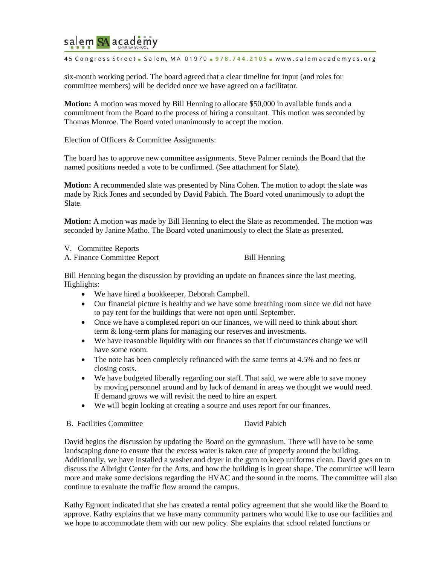# salem SA academy

45 Congress Street - Salem, MA 01970 - 978.744.2105 - www.salemacademycs.org

six-month working period. The board agreed that a clear timeline for input (and roles for committee members) will be decided once we have agreed on a facilitator.

**Motion:** A motion was moved by Bill Henning to allocate \$50,000 in available funds and a commitment from the Board to the process of hiring a consultant. This motion was seconded by Thomas Monroe. The Board voted unanimously to accept the motion.

Election of Officers & Committee Assignments:

The board has to approve new committee assignments. Steve Palmer reminds the Board that the named positions needed a vote to be confirmed. (See attachment for Slate).

**Motion:** A recommended slate was presented by Nina Cohen. The motion to adopt the slate was made by Rick Jones and seconded by David Pabich. The Board voted unanimously to adopt the Slate.

**Motion:** A motion was made by Bill Henning to elect the Slate as recommended. The motion was seconded by Janine Matho. The Board voted unanimously to elect the Slate as presented.

V. Committee Reports

A. Finance Committee Report Bill Henning

Bill Henning began the discussion by providing an update on finances since the last meeting. Highlights:

- We have hired a bookkeeper, Deborah Campbell.
- Our financial picture is healthy and we have some breathing room since we did not have to pay rent for the buildings that were not open until September.
- Once we have a completed report on our finances, we will need to think about short term & long-term plans for managing our reserves and investments.
- We have reasonable liquidity with our finances so that if circumstances change we will have some room.
- The note has been completely refinanced with the same terms at 4.5% and no fees or closing costs.
- We have budgeted liberally regarding our staff. That said, we were able to save money by moving personnel around and by lack of demand in areas we thought we would need. If demand grows we will revisit the need to hire an expert.
- We will begin looking at creating a source and uses report for our finances.
- B. Facilities Committee David Pabich

David begins the discussion by updating the Board on the gymnasium. There will have to be some landscaping done to ensure that the excess water is taken care of properly around the building. Additionally, we have installed a washer and dryer in the gym to keep uniforms clean. David goes on to discuss the Albright Center for the Arts, and how the building is in great shape. The committee will learn more and make some decisions regarding the HVAC and the sound in the rooms. The committee will also continue to evaluate the traffic flow around the campus.

Kathy Egmont indicated that she has created a rental policy agreement that she would like the Board to approve. Kathy explains that we have many community partners who would like to use our facilities and we hope to accommodate them with our new policy. She explains that school related functions or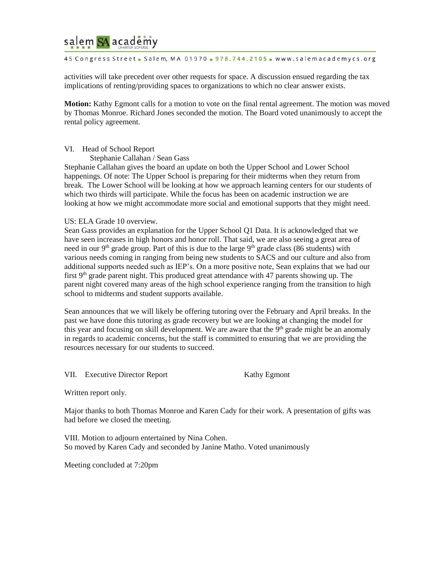## salem SA academy

### 45 Congress Street - Salem, MA 01970 - 978.744.2105 - www.salemacademycs.org

activities will take precedent over other requests for space. A discussion ensued regarding the tax implications of renting/providing spaces to organizations to which no clear answer exists.

**Motion:** Kathy Egmont calls for a motion to vote on the final rental agreement. The motion was moved by Thomas Monroe. Richard Jones seconded the motion. The Board voted unanimously to accept the rental policy agreement.

### VI. Head of School Report

Stephanie Callahan / Sean Gass

Stephanie Callahan gives the board an update on both the Upper School and Lower School happenings. Of note: The Upper School is preparing for their midterms when they return from break. The Lower School will be looking at how we approach learning centers for our students of which two thirds will participate. While the focus has been on academic instruction we are looking at how we might accommodate more social and emotional supports that they might need.

### US: ELA Grade 10 overview.

Sean Gass provides an explanation for the Upper School Q1 Data. It is acknowledged that we have seen increases in high honors and honor roll. That said, we are also seeing a great area of need in our 9<sup>th</sup> grade group. Part of this is due to the large 9<sup>th</sup> grade class (86 students) with various needs coming in ranging from being new students to SACS and our culture and also from additional supports needed such as IEP's. On a more positive note, Sean explains that we had our first  $9<sup>th</sup>$  grade parent night. This produced great attendance with 47 parents showing up. The parent night covered many areas of the high school experience ranging from the transition to high school to midterms and student supports available.

Sean announces that we will likely be offering tutoring over the February and April breaks. In the past we have done this tutoring as grade recovery but we are looking at changing the model for this year and focusing on skill development. We are aware that the 9<sup>th</sup> grade might be an anomaly in regards to academic concerns, but the staff is committed to ensuring that we are providing the resources necessary for our students to succeed.

VII. Executive Director Report Kathy Egmont

Written report only.

Major thanks to both Thomas Monroe and Karen Cady for their work. A presentation of gifts was had before we closed the meeting.

VIII. Motion to adjourn entertained by Nina Cohen. So moved by Karen Cady and seconded by Janine Matho. Voted unanimously

Meeting concluded at 7:20pm